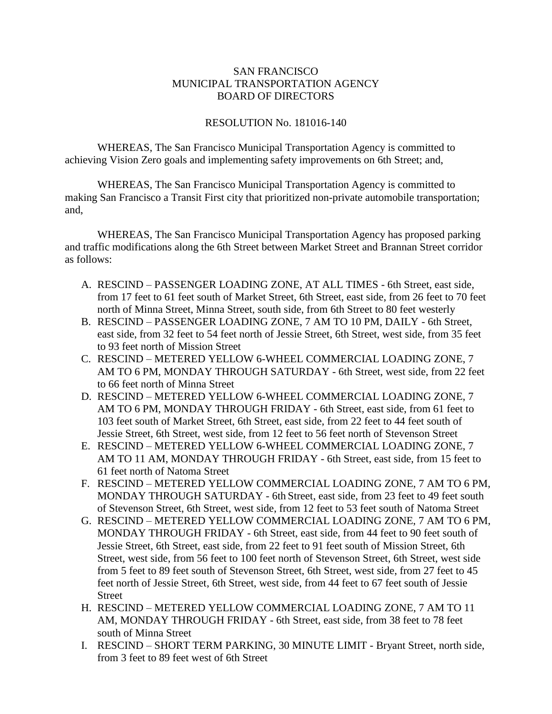## SAN FRANCISCO MUNICIPAL TRANSPORTATION AGENCY BOARD OF DIRECTORS

## RESOLUTION No. 181016-140

WHEREAS, The San Francisco Municipal Transportation Agency is committed to achieving Vision Zero goals and implementing safety improvements on 6th Street; and,

WHEREAS, The San Francisco Municipal Transportation Agency is committed to making San Francisco a Transit First city that prioritized non-private automobile transportation; and,

WHEREAS, The San Francisco Municipal Transportation Agency has proposed parking and traffic modifications along the 6th Street between Market Street and Brannan Street corridor as follows:

- A. RESCIND PASSENGER LOADING ZONE, AT ALL TIMES 6th Street, east side, from 17 feet to 61 feet south of Market Street, 6th Street, east side, from 26 feet to 70 feet north of Minna Street, Minna Street, south side, from 6th Street to 80 feet westerly
- B. RESCIND PASSENGER LOADING ZONE, 7 AM TO 10 PM, DAILY 6th Street, east side, from 32 feet to 54 feet north of Jessie Street, 6th Street, west side, from 35 feet to 93 feet north of Mission Street
- C. RESCIND METERED YELLOW 6-WHEEL COMMERCIAL LOADING ZONE, 7 AM TO 6 PM, MONDAY THROUGH SATURDAY - 6th Street, west side, from 22 feet to 66 feet north of Minna Street
- D. RESCIND METERED YELLOW 6-WHEEL COMMERCIAL LOADING ZONE, 7 AM TO 6 PM, MONDAY THROUGH FRIDAY - 6th Street, east side, from 61 feet to 103 feet south of Market Street, 6th Street, east side, from 22 feet to 44 feet south of Jessie Street, 6th Street, west side, from 12 feet to 56 feet north of Stevenson Street
- E. RESCIND METERED YELLOW 6-WHEEL COMMERCIAL LOADING ZONE, 7 AM TO 11 AM, MONDAY THROUGH FRIDAY - 6th Street, east side, from 15 feet to 61 feet north of Natoma Street
- F. RESCIND METERED YELLOW COMMERCIAL LOADING ZONE, 7 AM TO 6 PM, MONDAY THROUGH SATURDAY - 6th Street, east side, from 23 feet to 49 feet south of Stevenson Street, 6th Street, west side, from 12 feet to 53 feet south of Natoma Street
- G. RESCIND METERED YELLOW COMMERCIAL LOADING ZONE, 7 AM TO 6 PM, MONDAY THROUGH FRIDAY - 6th Street, east side, from 44 feet to 90 feet south of Jessie Street, 6th Street, east side, from 22 feet to 91 feet south of Mission Street, 6th Street, west side, from 56 feet to 100 feet north of Stevenson Street, 6th Street, west side from 5 feet to 89 feet south of Stevenson Street, 6th Street, west side, from 27 feet to 45 feet north of Jessie Street, 6th Street, west side, from 44 feet to 67 feet south of Jessie **Street**
- H. RESCIND METERED YELLOW COMMERCIAL LOADING ZONE, 7 AM TO 11 AM, MONDAY THROUGH FRIDAY - 6th Street, east side, from 38 feet to 78 feet south of Minna Street
- I. RESCIND SHORT TERM PARKING, 30 MINUTE LIMIT Bryant Street, north side, from 3 feet to 89 feet west of 6th Street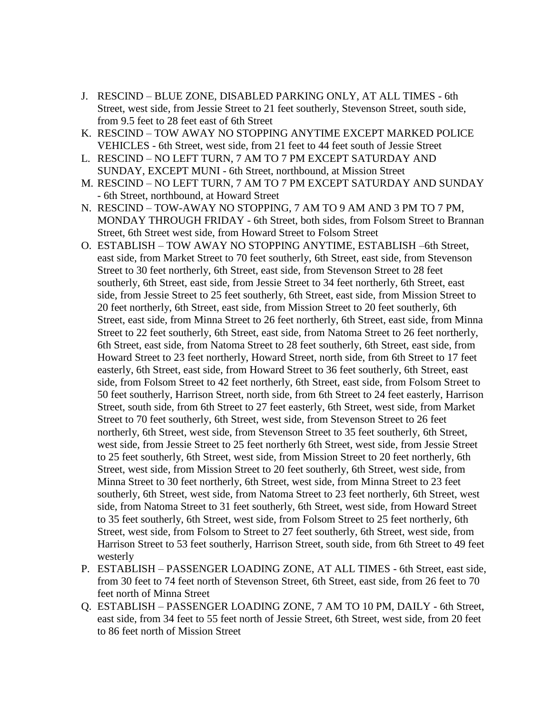- J. RESCIND BLUE ZONE, DISABLED PARKING ONLY, AT ALL TIMES 6th Street, west side, from Jessie Street to 21 feet southerly, Stevenson Street, south side, from 9.5 feet to 28 feet east of 6th Street
- K. RESCIND TOW AWAY NO STOPPING ANYTIME EXCEPT MARKED POLICE VEHICLES - 6th Street, west side, from 21 feet to 44 feet south of Jessie Street
- L. RESCIND NO LEFT TURN, 7 AM TO 7 PM EXCEPT SATURDAY AND SUNDAY, EXCEPT MUNI - 6th Street, northbound, at Mission Street
- M. RESCIND NO LEFT TURN, 7 AM TO 7 PM EXCEPT SATURDAY AND SUNDAY - 6th Street, northbound, at Howard Street
- N. RESCIND TOW-AWAY NO STOPPING, 7 AM TO 9 AM AND 3 PM TO 7 PM, MONDAY THROUGH FRIDAY - 6th Street, both sides, from Folsom Street to Brannan Street, 6th Street west side, from Howard Street to Folsom Street
- O. ESTABLISH TOW AWAY NO STOPPING ANYTIME, ESTABLISH –6th Street, east side, from Market Street to 70 feet southerly, 6th Street, east side, from Stevenson Street to 30 feet northerly, 6th Street, east side, from Stevenson Street to 28 feet southerly, 6th Street, east side, from Jessie Street to 34 feet northerly, 6th Street, east side, from Jessie Street to 25 feet southerly, 6th Street, east side, from Mission Street to 20 feet northerly, 6th Street, east side, from Mission Street to 20 feet southerly, 6th Street, east side, from Minna Street to 26 feet northerly, 6th Street, east side, from Minna Street to 22 feet southerly, 6th Street, east side, from Natoma Street to 26 feet northerly, 6th Street, east side, from Natoma Street to 28 feet southerly, 6th Street, east side, from Howard Street to 23 feet northerly, Howard Street, north side, from 6th Street to 17 feet easterly, 6th Street, east side, from Howard Street to 36 feet southerly, 6th Street, east side, from Folsom Street to 42 feet northerly, 6th Street, east side, from Folsom Street to 50 feet southerly, Harrison Street, north side, from 6th Street to 24 feet easterly, Harrison Street, south side, from 6th Street to 27 feet easterly, 6th Street, west side, from Market Street to 70 feet southerly, 6th Street, west side, from Stevenson Street to 26 feet northerly, 6th Street, west side, from Stevenson Street to 35 feet southerly, 6th Street, west side, from Jessie Street to 25 feet northerly 6th Street, west side, from Jessie Street to 25 feet southerly, 6th Street, west side, from Mission Street to 20 feet northerly, 6th Street, west side, from Mission Street to 20 feet southerly, 6th Street, west side, from Minna Street to 30 feet northerly, 6th Street, west side, from Minna Street to 23 feet southerly, 6th Street, west side, from Natoma Street to 23 feet northerly, 6th Street, west side, from Natoma Street to 31 feet southerly, 6th Street, west side, from Howard Street to 35 feet southerly, 6th Street, west side, from Folsom Street to 25 feet northerly, 6th Street, west side, from Folsom to Street to 27 feet southerly, 6th Street, west side, from Harrison Street to 53 feet southerly, Harrison Street, south side, from 6th Street to 49 feet westerly
- P. ESTABLISH PASSENGER LOADING ZONE, AT ALL TIMES 6th Street, east side, from 30 feet to 74 feet north of Stevenson Street, 6th Street, east side, from 26 feet to 70 feet north of Minna Street
- Q. ESTABLISH PASSENGER LOADING ZONE, 7 AM TO 10 PM, DAILY 6th Street, east side, from 34 feet to 55 feet north of Jessie Street, 6th Street, west side, from 20 feet to 86 feet north of Mission Street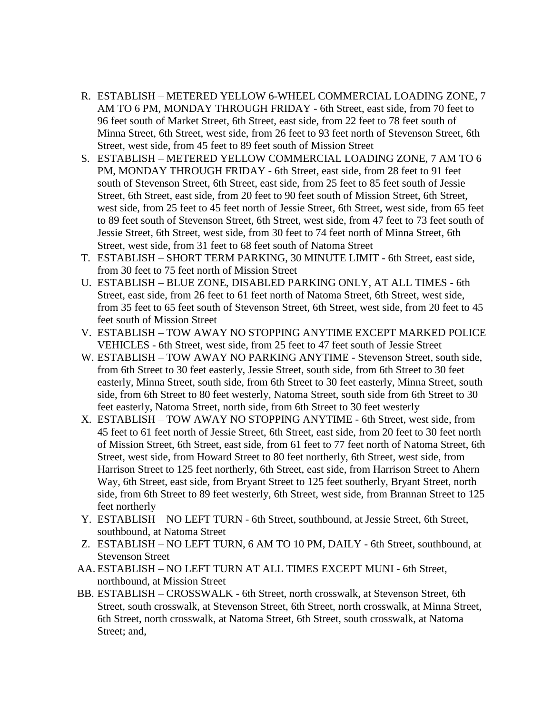- R. ESTABLISH METERED YELLOW 6-WHEEL COMMERCIAL LOADING ZONE, 7 AM TO 6 PM, MONDAY THROUGH FRIDAY - 6th Street, east side, from 70 feet to 96 feet south of Market Street, 6th Street, east side, from 22 feet to 78 feet south of Minna Street, 6th Street, west side, from 26 feet to 93 feet north of Stevenson Street, 6th Street, west side, from 45 feet to 89 feet south of Mission Street
- S. ESTABLISH METERED YELLOW COMMERCIAL LOADING ZONE, 7 AM TO 6 PM, MONDAY THROUGH FRIDAY - 6th Street, east side, from 28 feet to 91 feet south of Stevenson Street, 6th Street, east side, from 25 feet to 85 feet south of Jessie Street, 6th Street, east side, from 20 feet to 90 feet south of Mission Street, 6th Street, west side, from 25 feet to 45 feet north of Jessie Street, 6th Street, west side, from 65 feet to 89 feet south of Stevenson Street, 6th Street, west side, from 47 feet to 73 feet south of Jessie Street, 6th Street, west side, from 30 feet to 74 feet north of Minna Street, 6th Street, west side, from 31 feet to 68 feet south of Natoma Street
- T. ESTABLISH SHORT TERM PARKING, 30 MINUTE LIMIT 6th Street, east side, from 30 feet to 75 feet north of Mission Street
- U. ESTABLISH BLUE ZONE, DISABLED PARKING ONLY, AT ALL TIMES 6th Street, east side, from 26 feet to 61 feet north of Natoma Street, 6th Street, west side, from 35 feet to 65 feet south of Stevenson Street, 6th Street, west side, from 20 feet to 45 feet south of Mission Street
- V. ESTABLISH TOW AWAY NO STOPPING ANYTIME EXCEPT MARKED POLICE VEHICLES - 6th Street, west side, from 25 feet to 47 feet south of Jessie Street
- W. ESTABLISH TOW AWAY NO PARKING ANYTIME Stevenson Street, south side, from 6th Street to 30 feet easterly, Jessie Street, south side, from 6th Street to 30 feet easterly, Minna Street, south side, from 6th Street to 30 feet easterly, Minna Street, south side, from 6th Street to 80 feet westerly, Natoma Street, south side from 6th Street to 30 feet easterly, Natoma Street, north side, from 6th Street to 30 feet westerly
- X. ESTABLISH TOW AWAY NO STOPPING ANYTIME 6th Street, west side, from 45 feet to 61 feet north of Jessie Street, 6th Street, east side, from 20 feet to 30 feet north of Mission Street, 6th Street, east side, from 61 feet to 77 feet north of Natoma Street, 6th Street, west side, from Howard Street to 80 feet northerly, 6th Street, west side, from Harrison Street to 125 feet northerly, 6th Street, east side, from Harrison Street to Ahern Way, 6th Street, east side, from Bryant Street to 125 feet southerly, Bryant Street, north side, from 6th Street to 89 feet westerly, 6th Street, west side, from Brannan Street to 125 feet northerly
- Y. ESTABLISH NO LEFT TURN 6th Street, southbound, at Jessie Street, 6th Street, southbound, at Natoma Street
- Z. ESTABLISH NO LEFT TURN, 6 AM TO 10 PM, DAILY 6th Street, southbound, at Stevenson Street
- AA. ESTABLISH NO LEFT TURN AT ALL TIMES EXCEPT MUNI 6th Street, northbound, at Mission Street
- BB. ESTABLISH CROSSWALK 6th Street, north crosswalk, at Stevenson Street, 6th Street, south crosswalk, at Stevenson Street, 6th Street, north crosswalk, at Minna Street, 6th Street, north crosswalk, at Natoma Street, 6th Street, south crosswalk, at Natoma Street; and,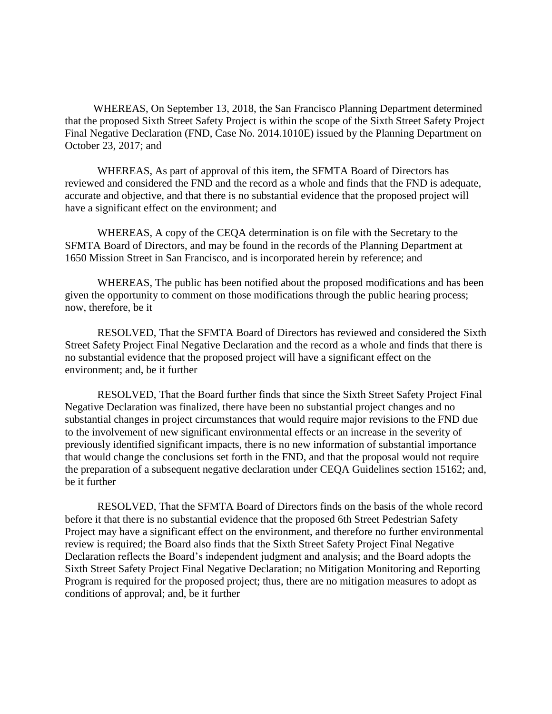WHEREAS, On September 13, 2018, the San Francisco Planning Department determined that the proposed Sixth Street Safety Project is within the scope of the Sixth Street Safety Project Final Negative Declaration (FND, Case No. 2014.1010E) issued by the Planning Department on October 23, 2017; and

WHEREAS, As part of approval of this item, the SFMTA Board of Directors has reviewed and considered the FND and the record as a whole and finds that the FND is adequate, accurate and objective, and that there is no substantial evidence that the proposed project will have a significant effect on the environment; and

WHEREAS, A copy of the CEQA determination is on file with the Secretary to the SFMTA Board of Directors, and may be found in the records of the Planning Department at 1650 Mission Street in San Francisco, and is incorporated herein by reference; and

WHEREAS, The public has been notified about the proposed modifications and has been given the opportunity to comment on those modifications through the public hearing process; now, therefore, be it

RESOLVED, That the SFMTA Board of Directors has reviewed and considered the Sixth Street Safety Project Final Negative Declaration and the record as a whole and finds that there is no substantial evidence that the proposed project will have a significant effect on the environment; and, be it further

RESOLVED, That the Board further finds that since the Sixth Street Safety Project Final Negative Declaration was finalized, there have been no substantial project changes and no substantial changes in project circumstances that would require major revisions to the FND due to the involvement of new significant environmental effects or an increase in the severity of previously identified significant impacts, there is no new information of substantial importance that would change the conclusions set forth in the FND, and that the proposal would not require the preparation of a subsequent negative declaration under CEQA Guidelines section 15162; and, be it further

RESOLVED, That the SFMTA Board of Directors finds on the basis of the whole record before it that there is no substantial evidence that the proposed 6th Street Pedestrian Safety Project may have a significant effect on the environment, and therefore no further environmental review is required; the Board also finds that the Sixth Street Safety Project Final Negative Declaration reflects the Board's independent judgment and analysis; and the Board adopts the Sixth Street Safety Project Final Negative Declaration; no Mitigation Monitoring and Reporting Program is required for the proposed project; thus, there are no mitigation measures to adopt as conditions of approval; and, be it further